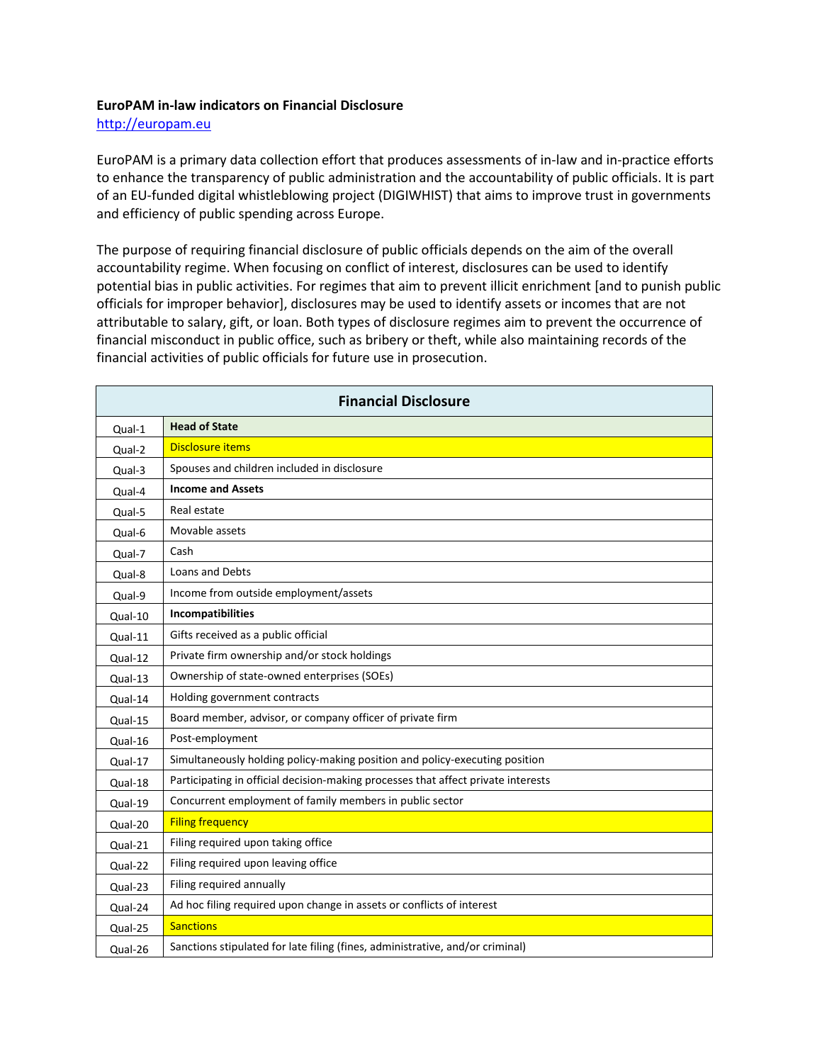## **EuroPAM in-law indicators on Financial Disclosure**

[http://europam.eu](http://europam.eu/)

EuroPAM is a primary data collection effort that produces assessments of in-law and in-practice efforts to enhance the transparency of public administration and the accountability of public officials. It is part of an EU-funded digital whistleblowing project (DIGIWHIST) that aims to improve trust in governments and efficiency of public spending across Europe.

The purpose of requiring financial disclosure of public officials depends on the aim of the overall accountability regime. When focusing on conflict of interest, disclosures can be used to identify potential bias in public activities. For regimes that aim to prevent illicit enrichment [and to punish public officials for improper behavior], disclosures may be used to identify assets or incomes that are not attributable to salary, gift, or loan. Both types of disclosure regimes aim to prevent the occurrence of financial misconduct in public office, such as bribery or theft, while also maintaining records of the financial activities of public officials for future use in prosecution.

| <b>Financial Disclosure</b> |                                                                                   |  |
|-----------------------------|-----------------------------------------------------------------------------------|--|
| Qual-1                      | <b>Head of State</b>                                                              |  |
| Qual-2                      | <b>Disclosure items</b>                                                           |  |
| Qual-3                      | Spouses and children included in disclosure                                       |  |
| Qual-4                      | <b>Income and Assets</b>                                                          |  |
| Qual-5                      | Real estate                                                                       |  |
| Qual-6                      | Movable assets                                                                    |  |
| Qual-7                      | Cash                                                                              |  |
| Qual-8                      | Loans and Debts                                                                   |  |
| Qual-9                      | Income from outside employment/assets                                             |  |
| Qual-10                     | Incompatibilities                                                                 |  |
| Qual-11                     | Gifts received as a public official                                               |  |
| Qual-12                     | Private firm ownership and/or stock holdings                                      |  |
| Qual-13                     | Ownership of state-owned enterprises (SOEs)                                       |  |
| Qual-14                     | Holding government contracts                                                      |  |
| Qual-15                     | Board member, advisor, or company officer of private firm                         |  |
| Qual-16                     | Post-employment                                                                   |  |
| Qual-17                     | Simultaneously holding policy-making position and policy-executing position       |  |
| Qual-18                     | Participating in official decision-making processes that affect private interests |  |
| Qual-19                     | Concurrent employment of family members in public sector                          |  |
| Qual-20                     | <b>Filing frequency</b>                                                           |  |
| Qual-21                     | Filing required upon taking office                                                |  |
| Qual-22                     | Filing required upon leaving office                                               |  |
| Qual-23                     | Filing required annually                                                          |  |
| Qual-24                     | Ad hoc filing required upon change in assets or conflicts of interest             |  |
| Qual-25                     | <b>Sanctions</b>                                                                  |  |
| Qual-26                     | Sanctions stipulated for late filing (fines, administrative, and/or criminal)     |  |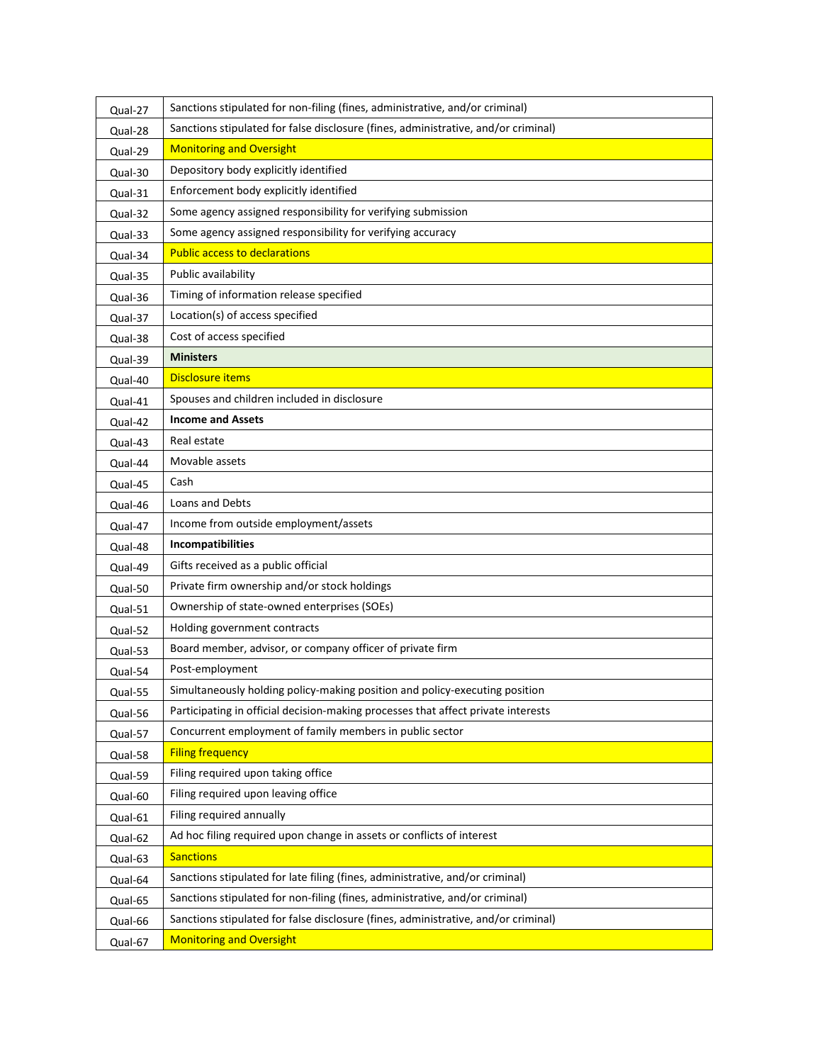| Qual-27 | Sanctions stipulated for non-filing (fines, administrative, and/or criminal)       |
|---------|------------------------------------------------------------------------------------|
| Qual-28 | Sanctions stipulated for false disclosure (fines, administrative, and/or criminal) |
| Qual-29 | <b>Monitoring and Oversight</b>                                                    |
| Qual-30 | Depository body explicitly identified                                              |
| Qual-31 | Enforcement body explicitly identified                                             |
| Qual-32 | Some agency assigned responsibility for verifying submission                       |
| Qual-33 | Some agency assigned responsibility for verifying accuracy                         |
| Qual-34 | <b>Public access to declarations</b>                                               |
| Qual-35 | Public availability                                                                |
| Qual-36 | Timing of information release specified                                            |
| Qual-37 | Location(s) of access specified                                                    |
| Qual-38 | Cost of access specified                                                           |
| Qual-39 | <b>Ministers</b>                                                                   |
| Qual-40 | <b>Disclosure items</b>                                                            |
| Qual-41 | Spouses and children included in disclosure                                        |
| Qual-42 | <b>Income and Assets</b>                                                           |
| Qual-43 | Real estate                                                                        |
| Qual-44 | Movable assets                                                                     |
| Qual-45 | Cash                                                                               |
| Qual-46 | Loans and Debts                                                                    |
| Qual-47 | Income from outside employment/assets                                              |
| Qual-48 | Incompatibilities                                                                  |
| Qual-49 | Gifts received as a public official                                                |
| Qual-50 | Private firm ownership and/or stock holdings                                       |
| Qual-51 | Ownership of state-owned enterprises (SOEs)                                        |
| Qual-52 | Holding government contracts                                                       |
| Qual-53 | Board member, advisor, or company officer of private firm                          |
| Qual-54 | Post-employment                                                                    |
| Qual-55 | Simultaneously holding policy-making position and policy-executing position        |
| Qual-56 | Participating in official decision-making processes that affect private interests  |
| Qual-57 | Concurrent employment of family members in public sector                           |
| Qual-58 | <b>Filing frequency</b>                                                            |
| Qual-59 | Filing required upon taking office                                                 |
| Qual-60 | Filing required upon leaving office                                                |
| Qual-61 | Filing required annually                                                           |
| Qual-62 | Ad hoc filing required upon change in assets or conflicts of interest              |
| Qual-63 | <b>Sanctions</b>                                                                   |
| Qual-64 | Sanctions stipulated for late filing (fines, administrative, and/or criminal)      |
| Qual-65 | Sanctions stipulated for non-filing (fines, administrative, and/or criminal)       |
| Qual-66 | Sanctions stipulated for false disclosure (fines, administrative, and/or criminal) |
| Qual-67 | <b>Monitoring and Oversight</b>                                                    |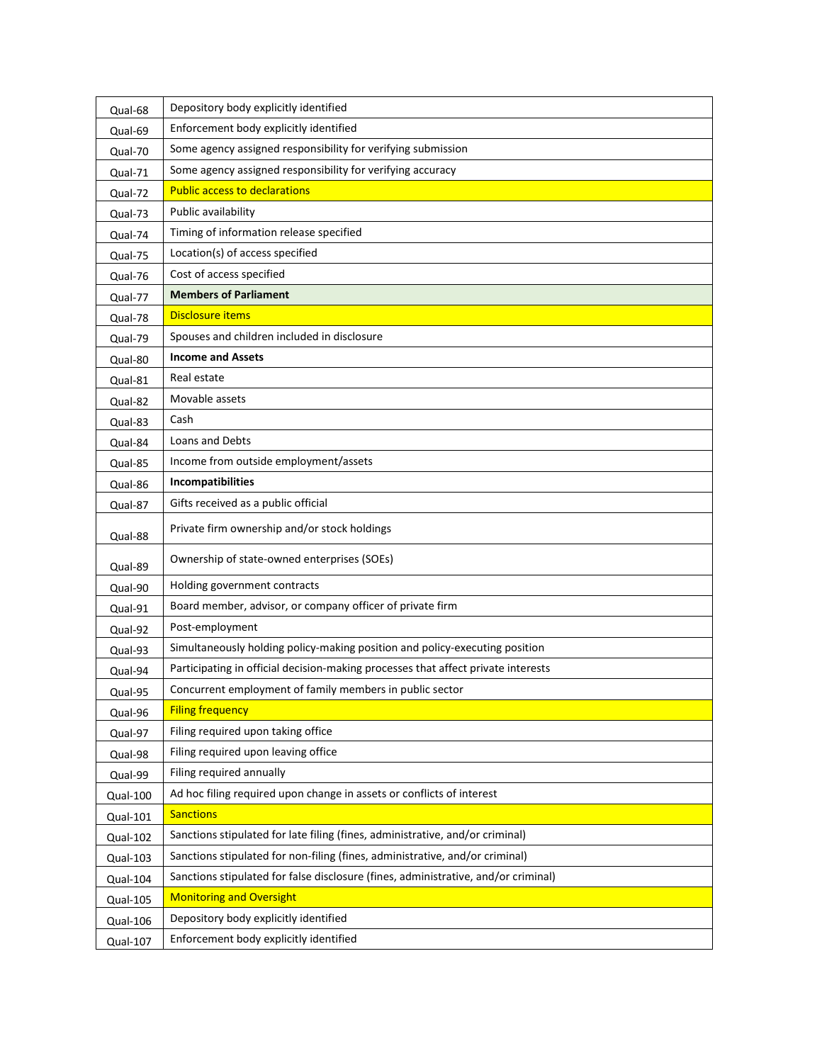| Qual-68  | Depository body explicitly identified                                              |
|----------|------------------------------------------------------------------------------------|
| Qual-69  | Enforcement body explicitly identified                                             |
| Qual-70  | Some agency assigned responsibility for verifying submission                       |
| Qual-71  | Some agency assigned responsibility for verifying accuracy                         |
| Qual-72  | <b>Public access to declarations</b>                                               |
| Qual-73  | Public availability                                                                |
| Qual-74  | Timing of information release specified                                            |
| Qual-75  | Location(s) of access specified                                                    |
| Qual-76  | Cost of access specified                                                           |
| Qual-77  | <b>Members of Parliament</b>                                                       |
| Qual-78  | <b>Disclosure items</b>                                                            |
| Qual-79  | Spouses and children included in disclosure                                        |
| Qual-80  | <b>Income and Assets</b>                                                           |
| Qual-81  | Real estate                                                                        |
| Qual-82  | Movable assets                                                                     |
| Qual-83  | Cash                                                                               |
| Qual-84  | Loans and Debts                                                                    |
| Qual-85  | Income from outside employment/assets                                              |
| Qual-86  | Incompatibilities                                                                  |
| Qual-87  | Gifts received as a public official                                                |
| Qual-88  | Private firm ownership and/or stock holdings                                       |
| Qual-89  | Ownership of state-owned enterprises (SOEs)                                        |
| Qual-90  | Holding government contracts                                                       |
| Qual-91  | Board member, advisor, or company officer of private firm                          |
| Qual-92  | Post-employment                                                                    |
| Qual-93  | Simultaneously holding policy-making position and policy-executing position        |
| Qual-94  | Participating in official decision-making processes that affect private interests  |
| Qual-95  | Concurrent employment of family members in public sector                           |
| Qual-96  | <b>Filing frequency</b>                                                            |
| Qual-97  | Filing required upon taking office                                                 |
| Qual-98  | Filing required upon leaving office                                                |
| Qual-99  | Filing required annually                                                           |
| Qual-100 | Ad hoc filing required upon change in assets or conflicts of interest              |
| Qual-101 | <b>Sanctions</b>                                                                   |
| Qual-102 | Sanctions stipulated for late filing (fines, administrative, and/or criminal)      |
| Qual-103 | Sanctions stipulated for non-filing (fines, administrative, and/or criminal)       |
| Qual-104 | Sanctions stipulated for false disclosure (fines, administrative, and/or criminal) |
| Qual-105 | <b>Monitoring and Oversight</b>                                                    |
| Qual-106 | Depository body explicitly identified                                              |
| Qual-107 | Enforcement body explicitly identified                                             |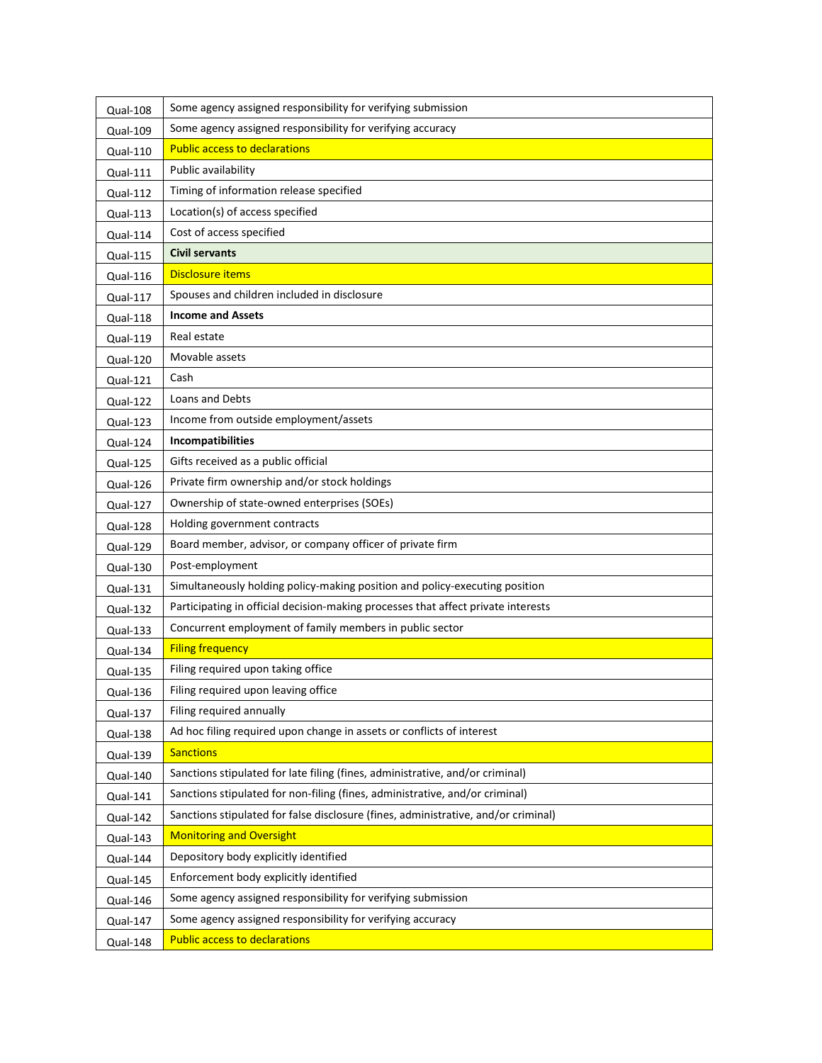| Qual-108        | Some agency assigned responsibility for verifying submission                       |
|-----------------|------------------------------------------------------------------------------------|
| Qual-109        | Some agency assigned responsibility for verifying accuracy                         |
| <b>Qual-110</b> | <b>Public access to declarations</b>                                               |
| <b>Qual-111</b> | Public availability                                                                |
| Qual-112        | Timing of information release specified                                            |
| <b>Qual-113</b> | Location(s) of access specified                                                    |
| Qual-114        | Cost of access specified                                                           |
| <b>Qual-115</b> | <b>Civil servants</b>                                                              |
| Qual-116        | Disclosure items                                                                   |
| Qual-117        | Spouses and children included in disclosure                                        |
| Qual-118        | <b>Income and Assets</b>                                                           |
| Qual-119        | Real estate                                                                        |
| Qual-120        | Movable assets                                                                     |
| Qual-121        | Cash                                                                               |
| Qual-122        | Loans and Debts                                                                    |
| Qual-123        | Income from outside employment/assets                                              |
| Qual-124        | Incompatibilities                                                                  |
| Qual-125        | Gifts received as a public official                                                |
| Qual-126        | Private firm ownership and/or stock holdings                                       |
| Qual-127        | Ownership of state-owned enterprises (SOEs)                                        |
| Qual-128        | Holding government contracts                                                       |
| Qual-129        | Board member, advisor, or company officer of private firm                          |
| Qual-130        | Post-employment                                                                    |
| Qual-131        | Simultaneously holding policy-making position and policy-executing position        |
| Qual-132        | Participating in official decision-making processes that affect private interests  |
| Qual-133        | Concurrent employment of family members in public sector                           |
| Qual-134        | <b>Filing frequency</b>                                                            |
| Qual-135        | Filing required upon taking office                                                 |
| Qual-136        | Filing required upon leaving office                                                |
| Qual-137        | Filing required annually                                                           |
| Qual-138        | Ad hoc filing required upon change in assets or conflicts of interest              |
| Qual-139        | <b>Sanctions</b>                                                                   |
| Qual-140        | Sanctions stipulated for late filing (fines, administrative, and/or criminal)      |
| Qual-141        | Sanctions stipulated for non-filing (fines, administrative, and/or criminal)       |
| Qual-142        | Sanctions stipulated for false disclosure (fines, administrative, and/or criminal) |
| Qual-143        | <b>Monitoring and Oversight</b>                                                    |
| Qual-144        | Depository body explicitly identified                                              |
| Qual-145        | Enforcement body explicitly identified                                             |
| Qual-146        | Some agency assigned responsibility for verifying submission                       |
| Qual-147        | Some agency assigned responsibility for verifying accuracy                         |
| Qual-148        | <b>Public access to declarations</b>                                               |